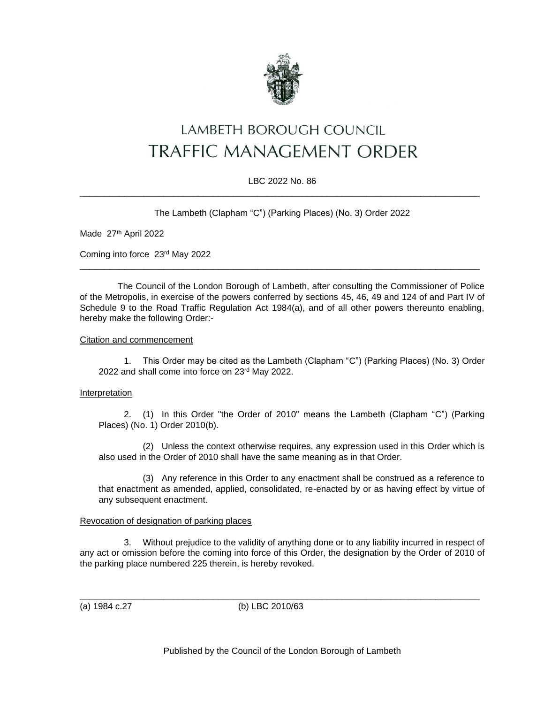

# LAMBETH BOROUGH COUNCIL **TRAFFIC MANAGEMENT ORDER**

# LBC 2022 No. 86 \_\_\_\_\_\_\_\_\_\_\_\_\_\_\_\_\_\_\_\_\_\_\_\_\_\_\_\_\_\_\_\_\_\_\_\_\_\_\_\_\_\_\_\_\_\_\_\_\_\_\_\_\_\_\_\_\_\_\_\_\_\_\_\_\_\_\_\_\_\_\_\_\_\_\_\_\_\_\_\_\_

The Lambeth (Clapham "C") (Parking Places) (No. 3) Order 2022

Made 27th April 2022

Coming into force 23rd May 2022

The Council of the London Borough of Lambeth, after consulting the Commissioner of Police of the Metropolis, in exercise of the powers conferred by sections 45, 46, 49 and 124 of and Part IV of Schedule 9 to the Road Traffic Regulation Act 1984(a), and of all other powers thereunto enabling, hereby make the following Order:-

\_\_\_\_\_\_\_\_\_\_\_\_\_\_\_\_\_\_\_\_\_\_\_\_\_\_\_\_\_\_\_\_\_\_\_\_\_\_\_\_\_\_\_\_\_\_\_\_\_\_\_\_\_\_\_\_\_\_\_\_\_\_\_\_\_\_\_\_\_\_\_\_\_\_\_\_\_\_\_\_\_

Citation and commencement

1. This Order may be cited as the Lambeth (Clapham "C") (Parking Places) (No. 3) Order 2022 and shall come into force on 23rd May 2022.

# Interpretation

2. (1) In this Order "the Order of 2010" means the Lambeth (Clapham "C") (Parking Places) (No. 1) Order 2010(b).

(2) Unless the context otherwise requires, any expression used in this Order which is also used in the Order of 2010 shall have the same meaning as in that Order.

(3) Any reference in this Order to any enactment shall be construed as a reference to that enactment as amended, applied, consolidated, re-enacted by or as having effect by virtue of any subsequent enactment.

# Revocation of designation of parking places

3. Without prejudice to the validity of anything done or to any liability incurred in respect of any act or omission before the coming into force of this Order, the designation by the Order of 2010 of the parking place numbered 225 therein, is hereby revoked.

(a) 1984 c.27 (b) LBC 2010/63

\_\_\_\_\_\_\_\_\_\_\_\_\_\_\_\_\_\_\_\_\_\_\_\_\_\_\_\_\_\_\_\_\_\_\_\_\_\_\_\_\_\_\_\_\_\_\_\_\_\_\_\_\_\_\_\_\_\_\_\_\_\_\_\_\_\_\_\_\_\_\_\_\_\_\_\_\_\_\_\_\_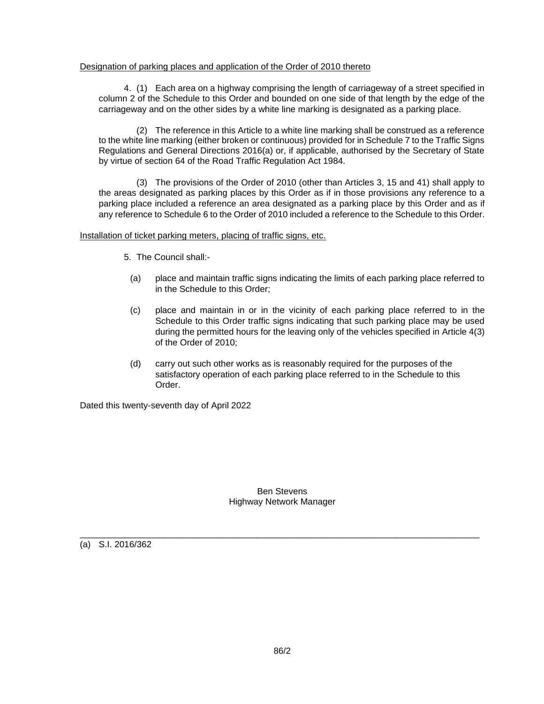# Designation of parking places and application of the Order of 2010 thereto

4. (1) Each area on a highway comprising the length of carriageway of a street specified in column 2 of the Schedule to this Order and bounded on one side of that length by the edge of the carriageway and on the other sides by a white line marking is designated as a parking place.

(2) The reference in this Article to a white line marking shall be construed as a reference to the white line marking (either broken or continuous) provided for in Schedule 7 to the Traffic Signs Regulations and General Directions 2016(a) or, if applicable, authorised by the Secretary of State by virtue of section 64 of the Road Traffic Regulation Act 1984.

(3) The provisions of the Order of 2010 (other than Articles 3, 15 and 41) shall apply to the areas designated as parking places by this Order as if in those provisions any reference to a parking place included a reference an area designated as a parking place by this Order and as if any reference to Schedule 6 to the Order of 2010 included a reference to the Schedule to this Order.

# Installation of ticket parking meters, placing of traffic signs, etc.

- 5. The Council shall:-
	- (a) place and maintain traffic signs indicating the limits of each parking place referred to in the Schedule to this Order;
	- (c) place and maintain in or in the vicinity of each parking place referred to in the Schedule to this Order traffic signs indicating that such parking place may be used during the permitted hours for the leaving only of the vehicles specified in Article 4(3) of the Order of 2010;
	- (d) carry out such other works as is reasonably required for the purposes of the satisfactory operation of each parking place referred to in the Schedule to this Order.

Dated this twenty-seventh day of April 2022

#### Ben Stevens Highway Network Manager

\_\_\_\_\_\_\_\_\_\_\_\_\_\_\_\_\_\_\_\_\_\_\_\_\_\_\_\_\_\_\_\_\_\_\_\_\_\_\_\_\_\_\_\_\_\_\_\_\_\_\_\_\_\_\_\_\_\_\_\_\_\_\_\_\_\_\_\_\_\_\_\_\_\_\_\_\_\_\_\_\_

(a) S.I. 2016/362